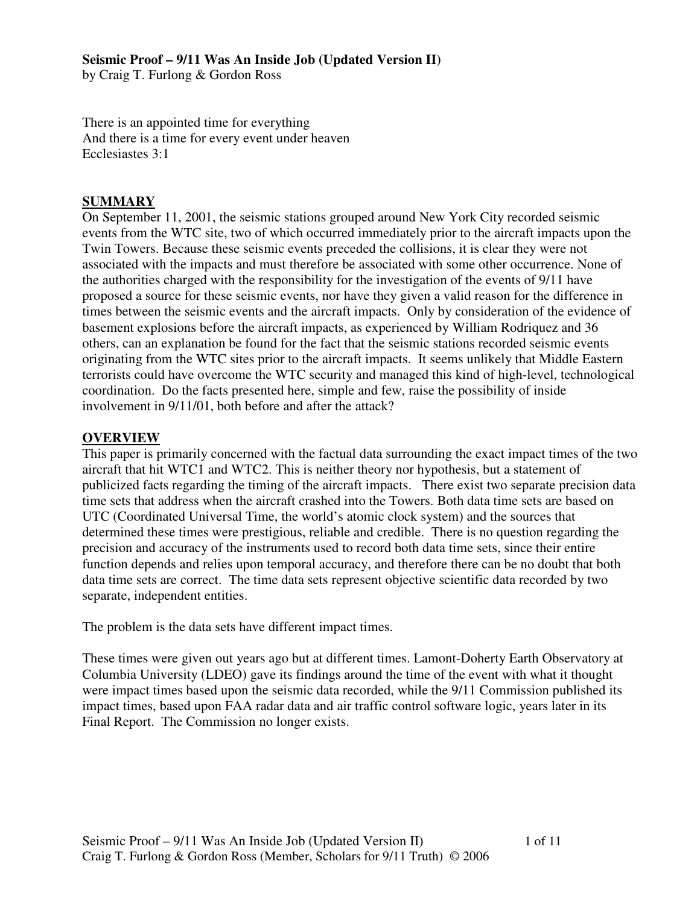**Seismic Proof – 9/11 Was An Inside Job (Updated Version II)** 

by Craig T. Furlong & Gordon Ross

There is an appointed time for everything And there is a time for every event under heaven Ecclesiastes 3:1

### **SUMMARY**

On September 11, 2001, the seismic stations grouped around New York City recorded seismic events from the WTC site, two of which occurred immediately prior to the aircraft impacts upon the Twin Towers. Because these seismic events preceded the collisions, it is clear they were not associated with the impacts and must therefore be associated with some other occurrence. None of the authorities charged with the responsibility for the investigation of the events of 9/11 have proposed a source for these seismic events, nor have they given a valid reason for the difference in times between the seismic events and the aircraft impacts. Only by consideration of the evidence of basement explosions before the aircraft impacts, as experienced by William Rodriquez and 36 others, can an explanation be found for the fact that the seismic stations recorded seismic events originating from the WTC sites prior to the aircraft impacts. It seems unlikely that Middle Eastern terrorists could have overcome the WTC security and managed this kind of high-level, technological coordination. Do the facts presented here, simple and few, raise the possibility of inside involvement in 9/11/01, both before and after the attack?

#### **OVERVIEW**

This paper is primarily concerned with the factual data surrounding the exact impact times of the two aircraft that hit WTC1 and WTC2. This is neither theory nor hypothesis, but a statement of publicized facts regarding the timing of the aircraft impacts. There exist two separate precision data time sets that address when the aircraft crashed into the Towers. Both data time sets are based on UTC (Coordinated Universal Time, the world's atomic clock system) and the sources that determined these times were prestigious, reliable and credible. There is no question regarding the precision and accuracy of the instruments used to record both data time sets, since their entire function depends and relies upon temporal accuracy, and therefore there can be no doubt that both data time sets are correct. The time data sets represent objective scientific data recorded by two separate, independent entities.

The problem is the data sets have different impact times.

These times were given out years ago but at different times. Lamont-Doherty Earth Observatory at Columbia University (LDEO) gave its findings around the time of the event with what it thought were impact times based upon the seismic data recorded, while the 9/11 Commission published its impact times, based upon FAA radar data and air traffic control software logic, years later in its Final Report. The Commission no longer exists.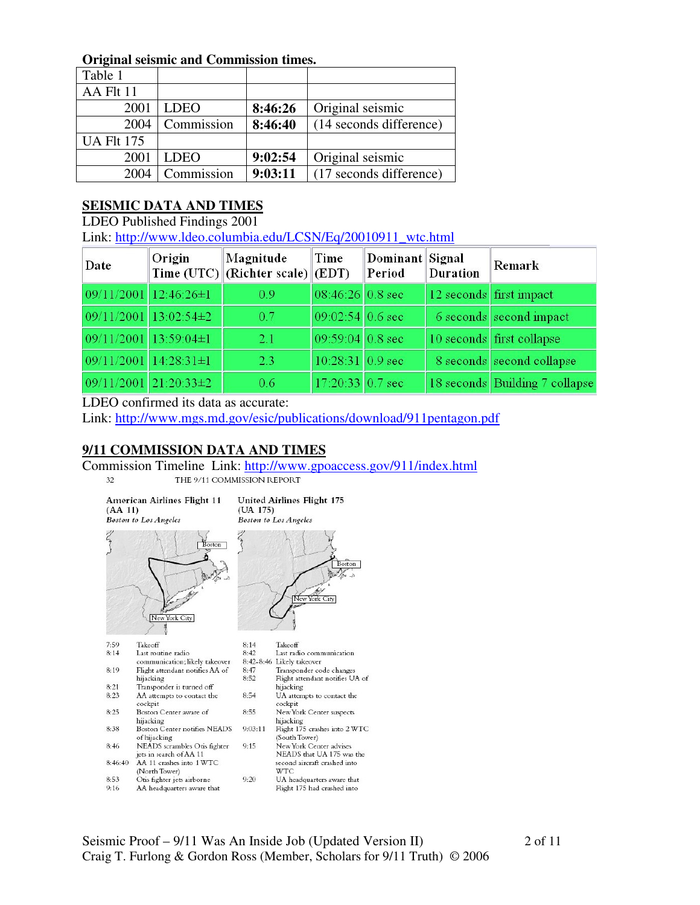#### **Original seismic and Commission times.**

| Table 1           |             |         |                         |
|-------------------|-------------|---------|-------------------------|
| AA Flt 11         |             |         |                         |
| 2001              | LDEO        | 8:46:26 | Original seismic        |
| 2004              | Commission  | 8:46:40 | (14 seconds difference) |
| <b>UA Flt 175</b> |             |         |                         |
| 2001              | <b>LDEO</b> | 9:02:54 | Original seismic        |
| 2004              | Commission  | 9:03:11 | (17 seconds difference) |

#### **SEISMIC DATA AND TIMES**

LDEO Published Findings 2001

Link: http://www.ldeo.columbia.edu/LCSN/Eq/20010911\_wtc.html

| Date                  | Origin                  | Magnitude<br>Time $(UTC)$ (Richter scale) (EDT) | Time               | Dominant Signal<br>Period | <b>Duration</b> | Remark                         |
|-----------------------|-------------------------|-------------------------------------------------|--------------------|---------------------------|-----------------|--------------------------------|
| 09/11/2001 12:46:26±1 |                         | 0.9                                             | 08:46:26 0.8 sec   |                           |                 | 12 seconds first impact        |
|                       | $09/11/2001$ 13:02:54±2 | 0.7                                             | $09:02:54$ 0.6 sec |                           |                 | 6 seconds second impact        |
| 09/11/2001 13:59:04±1 |                         | 2.1                                             | $09:59:04$ 0.8 sec |                           |                 | 10 seconds first collapse      |
| 09/11/2001 14:28:31±1 |                         | 2.3                                             | 10:28:31 0.9 sec   |                           |                 | 8 seconds second collapse      |
|                       | $09/11/2001$ 21:20:33±2 | 0.6                                             | $17:20:33$ 0.7 sec |                           |                 | 18 seconds Building 7 collapse |

#### LDEO confirmed its data as accurate:

Link: http://www.mgs.md.gov/esic/publications/download/911pentagon.pdf

# **9/11 COMMISSION DATA AND TIMES**

Commission Timeline Link: http://www.gpoaccess.gov/911/index.html<br>
THE 9/11 COMMISSION REPORT  $32$ 

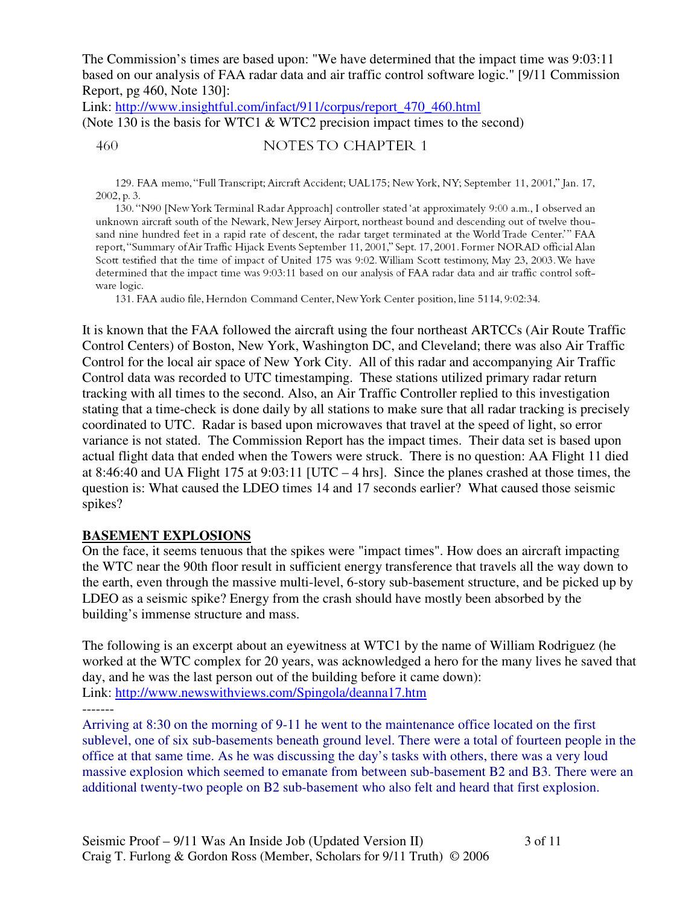The Commission's times are based upon: "We have determined that the impact time was 9:03:11 based on our analysis of FAA radar data and air traffic control software logic." [9/11 Commission Report, pg 460, Note 130]:

Link: http://www.insightful.com/infact/911/corpus/report\_470\_460.html (Note 130 is the basis for WTC1 & WTC2 precision impact times to the second)

NOTES TO CHAPTER 1 460

129. FAA memo, "Full Transcript; Aircraft Accident; UAL175; New York, NY; September 11, 2001," Jan. 17, 2002, p. 3.

130. "N90 [New York Terminal Radar Approach] controller stated 'at approximately 9:00 a.m., I observed an unknown aircraft south of the Newark, New Jersey Airport, northeast bound and descending out of twelve thousand nine hundred feet in a rapid rate of descent, the radar target terminated at the World Trade Center." FAA report, "Summary of Air Traffic Hijack Events September 11, 2001," Sept. 17, 2001. Former NORAD official Alan Scott testified that the time of impact of United 175 was 9:02. William Scott testimony, May 23, 2003. We have determined that the impact time was 9:03:11 based on our analysis of FAA radar data and air traffic control software logic.

131. FAA audio file, Herndon Command Center, New York Center position, line 5114, 9:02:34.

It is known that the FAA followed the aircraft using the four northeast ARTCCs (Air Route Traffic Control Centers) of Boston, New York, Washington DC, and Cleveland; there was also Air Traffic Control for the local air space of New York City. All of this radar and accompanying Air Traffic Control data was recorded to UTC timestamping. These stations utilized primary radar return tracking with all times to the second. Also, an Air Traffic Controller replied to this investigation stating that a time-check is done daily by all stations to make sure that all radar tracking is precisely coordinated to UTC. Radar is based upon microwaves that travel at the speed of light, so error variance is not stated. The Commission Report has the impact times. Their data set is based upon actual flight data that ended when the Towers were struck. There is no question: AA Flight 11 died at 8:46:40 and UA Flight 175 at 9:03:11 [UTC – 4 hrs]. Since the planes crashed at those times, the question is: What caused the LDEO times 14 and 17 seconds earlier? What caused those seismic spikes?

#### **BASEMENT EXPLOSIONS**

On the face, it seems tenuous that the spikes were "impact times". How does an aircraft impacting the WTC near the 90th floor result in sufficient energy transference that travels all the way down to the earth, even through the massive multi-level, 6-story sub-basement structure, and be picked up by LDEO as a seismic spike? Energy from the crash should have mostly been absorbed by the building's immense structure and mass.

The following is an excerpt about an eyewitness at WTC1 by the name of William Rodriguez (he worked at the WTC complex for 20 years, was acknowledged a hero for the many lives he saved that day, and he was the last person out of the building before it came down): Link: http://www.newswithviews.com/Spingola/deanna17.htm

-------

Arriving at 8:30 on the morning of 9-11 he went to the maintenance office located on the first sublevel, one of six sub-basements beneath ground level. There were a total of fourteen people in the office at that same time. As he was discussing the day's tasks with others, there was a very loud massive explosion which seemed to emanate from between sub-basement B2 and B3. There were an additional twenty-two people on B2 sub-basement who also felt and heard that first explosion.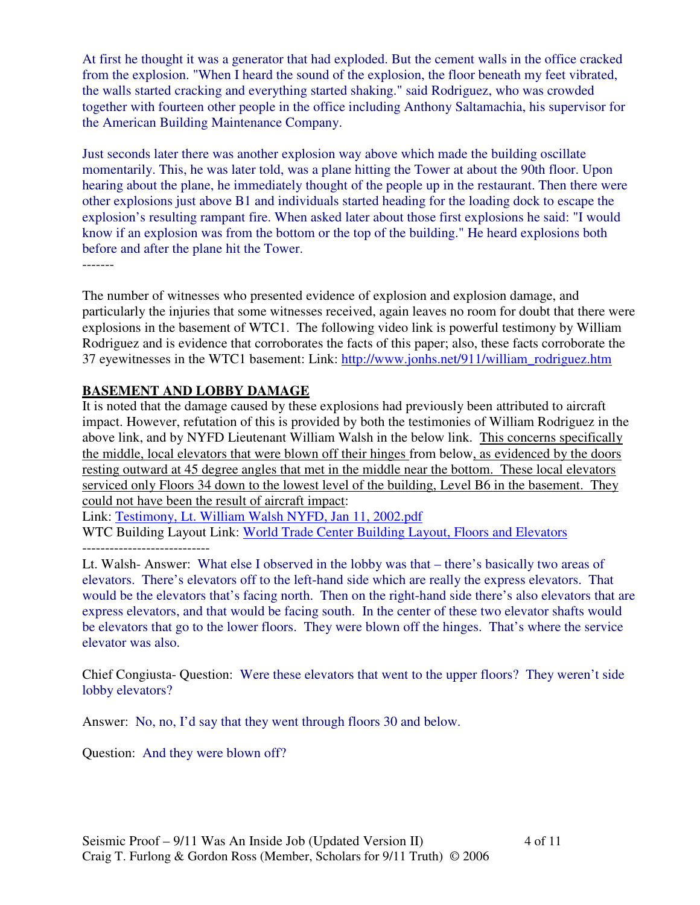At first he thought it was a generator that had exploded. But the cement walls in the office cracked from the explosion. "When I heard the sound of the explosion, the floor beneath my feet vibrated, the walls started cracking and everything started shaking." said Rodriguez, who was crowded together with fourteen other people in the office including Anthony Saltamachia, his supervisor for the American Building Maintenance Company.

Just seconds later there was another explosion way above which made the building oscillate momentarily. This, he was later told, was a plane hitting the Tower at about the 90th floor. Upon hearing about the plane, he immediately thought of the people up in the restaurant. Then there were other explosions just above B1 and individuals started heading for the loading dock to escape the explosion's resulting rampant fire. When asked later about those first explosions he said: "I would know if an explosion was from the bottom or the top of the building." He heard explosions both before and after the plane hit the Tower.

-------

The number of witnesses who presented evidence of explosion and explosion damage, and particularly the injuries that some witnesses received, again leaves no room for doubt that there were explosions in the basement of WTC1. The following video link is powerful testimony by William Rodriguez and is evidence that corroborates the facts of this paper; also, these facts corroborate the 37 eyewitnesses in the WTC1 basement: Link: http://www.jonhs.net/911/william\_rodriguez.htm

### **BASEMENT AND LOBBY DAMAGE**

It is noted that the damage caused by these explosions had previously been attributed to aircraft impact. However, refutation of this is provided by both the testimonies of William Rodriguez in the above link, and by NYFD Lieutenant William Walsh in the below link. This concerns specifically the middle, local elevators that were blown off their hinges from below, as evidenced by the doors resting outward at 45 degree angles that met in the middle near the bottom. These local elevators serviced only Floors 34 down to the lowest level of the building, Level B6 in the basement. They could not have been the result of aircraft impact:

Link: Testimony, Lt. William Walsh NYFD, Jan 11, 2002.pdf WTC Building Layout Link: World Trade Center Building Layout, Floors and Elevators ----------------------------

Lt. Walsh- Answer: What else I observed in the lobby was that – there's basically two areas of elevators. There's elevators off to the left-hand side which are really the express elevators. That would be the elevators that's facing north. Then on the right-hand side there's also elevators that are express elevators, and that would be facing south. In the center of these two elevator shafts would be elevators that go to the lower floors. They were blown off the hinges. That's where the service elevator was also.

Chief Congiusta- Question: Were these elevators that went to the upper floors? They weren't side lobby elevators?

Answer: No, no, I'd say that they went through floors 30 and below.

Question: And they were blown off?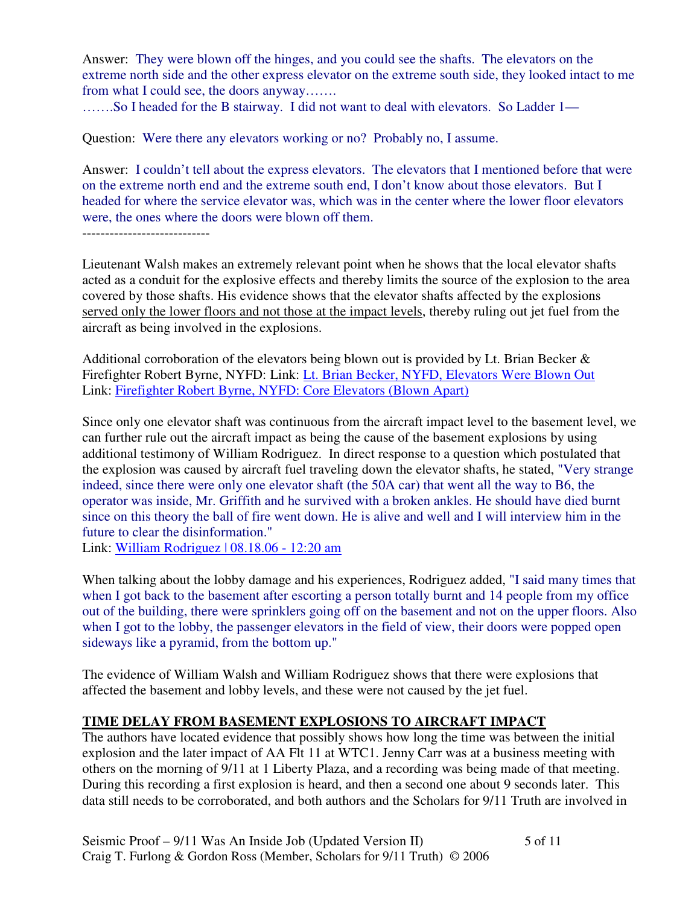Answer: They were blown off the hinges, and you could see the shafts. The elevators on the extreme north side and the other express elevator on the extreme south side, they looked intact to me from what I could see, the doors anyway…….

…….So I headed for the B stairway. I did not want to deal with elevators. So Ladder 1—

Question: Were there any elevators working or no? Probably no, I assume.

Answer: I couldn't tell about the express elevators. The elevators that I mentioned before that were on the extreme north end and the extreme south end, I don't know about those elevators. But I headed for where the service elevator was, which was in the center where the lower floor elevators were, the ones where the doors were blown off them.

Lieutenant Walsh makes an extremely relevant point when he shows that the local elevator shafts acted as a conduit for the explosive effects and thereby limits the source of the explosion to the area covered by those shafts. His evidence shows that the elevator shafts affected by the explosions served only the lower floors and not those at the impact levels, thereby ruling out jet fuel from the aircraft as being involved in the explosions.

Additional corroboration of the elevators being blown out is provided by Lt. Brian Becker & Firefighter Robert Byrne, NYFD: Link: Lt. Brian Becker, NYFD, Elevators Were Blown Out Link: Firefighter Robert Byrne, NYFD: Core Elevators (Blown Apart)

Since only one elevator shaft was continuous from the aircraft impact level to the basement level, we can further rule out the aircraft impact as being the cause of the basement explosions by using additional testimony of William Rodriguez. In direct response to a question which postulated that the explosion was caused by aircraft fuel traveling down the elevator shafts, he stated, "Very strange indeed, since there were only one elevator shaft (the 50A car) that went all the way to B6, the operator was inside, Mr. Griffith and he survived with a broken ankles. He should have died burnt since on this theory the ball of fire went down. He is alive and well and I will interview him in the future to clear the disinformation."

Link: William Rodriguez | 08.18.06 - 12:20 am

When talking about the lobby damage and his experiences, Rodriguez added, "I said many times that when I got back to the basement after escorting a person totally burnt and 14 people from my office out of the building, there were sprinklers going off on the basement and not on the upper floors. Also when I got to the lobby, the passenger elevators in the field of view, their doors were popped open sideways like a pyramid, from the bottom up."

The evidence of William Walsh and William Rodriguez shows that there were explosions that affected the basement and lobby levels, and these were not caused by the jet fuel.

# **TIME DELAY FROM BASEMENT EXPLOSIONS TO AIRCRAFT IMPACT**

The authors have located evidence that possibly shows how long the time was between the initial explosion and the later impact of AA Flt 11 at WTC1. Jenny Carr was at a business meeting with others on the morning of 9/11 at 1 Liberty Plaza, and a recording was being made of that meeting. During this recording a first explosion is heard, and then a second one about 9 seconds later. This data still needs to be corroborated, and both authors and the Scholars for 9/11 Truth are involved in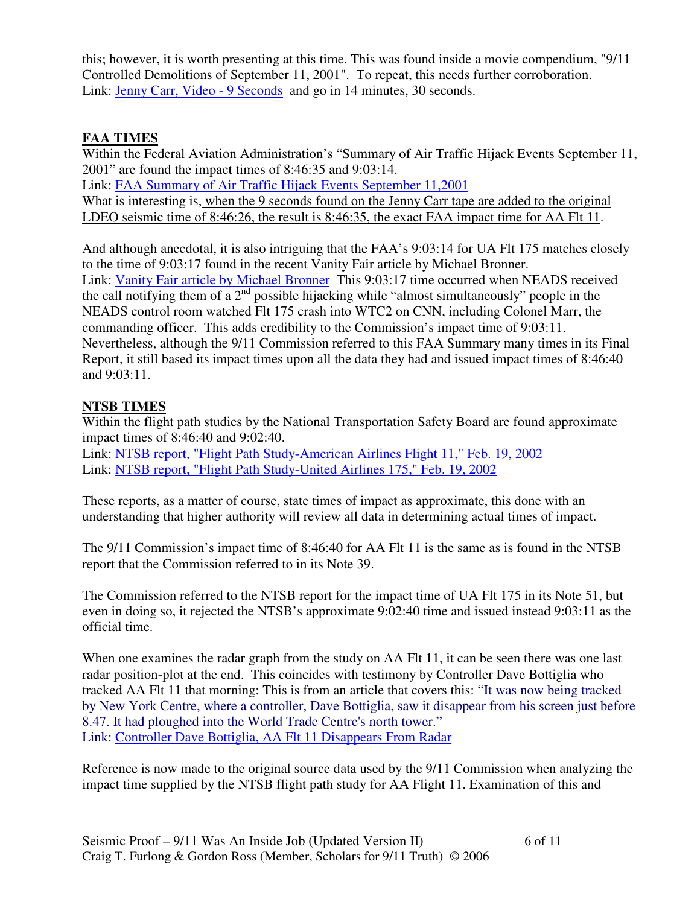this; however, it is worth presenting at this time. This was found inside a movie compendium, "9/11 Controlled Demolitions of September 11, 2001". To repeat, this needs further corroboration. Link: Jenny Carr, Video - 9 Seconds and go in 14 minutes, 30 seconds.

### **FAA TIMES**

Within the Federal Aviation Administration's "Summary of Air Traffic Hijack Events September 11, 2001" are found the impact times of 8:46:35 and 9:03:14. Link: FAA Summary of Air Traffic Hijack Events September 11,2001

What is interesting is, when the 9 seconds found on the Jenny Carr tape are added to the original LDEO seismic time of 8:46:26, the result is 8:46:35, the exact FAA impact time for AA Flt 11.

And although anecdotal, it is also intriguing that the FAA's 9:03:14 for UA Flt 175 matches closely to the time of 9:03:17 found in the recent Vanity Fair article by Michael Bronner. Link: Vanity Fair article by Michael Bronner This 9:03:17 time occurred when NEADS received the call notifying them of a  $2<sup>nd</sup>$  possible hijacking while "almost simultaneously" people in the NEADS control room watched Flt 175 crash into WTC2 on CNN, including Colonel Marr, the commanding officer. This adds credibility to the Commission's impact time of 9:03:11. Nevertheless, although the 9/11 Commission referred to this FAA Summary many times in its Final Report, it still based its impact times upon all the data they had and issued impact times of 8:46:40 and 9:03:11.

### **NTSB TIMES**

Within the flight path studies by the National Transportation Safety Board are found approximate impact times of 8:46:40 and 9:02:40.

Link: NTSB report, "Flight Path Study-American Airlines Flight 11," Feb. 19, 2002 Link: NTSB report, "Flight Path Study-United Airlines 175," Feb. 19, 2002

These reports, as a matter of course, state times of impact as approximate, this done with an understanding that higher authority will review all data in determining actual times of impact.

The 9/11 Commission's impact time of 8:46:40 for AA Flt 11 is the same as is found in the NTSB report that the Commission referred to in its Note 39.

The Commission referred to the NTSB report for the impact time of UA Flt 175 in its Note 51, but even in doing so, it rejected the NTSB's approximate 9:02:40 time and issued instead 9:03:11 as the official time.

When one examines the radar graph from the study on AA Flt 11, it can be seen there was one last radar position-plot at the end. This coincides with testimony by Controller Dave Bottiglia who tracked AA Flt 11 that morning: This is from an article that covers this: "It was now being tracked by New York Centre, where a controller, Dave Bottiglia, saw it disappear from his screen just before 8.47. It had ploughed into the World Trade Centre's north tower." Link: Controller Dave Bottiglia, AA Flt 11 Disappears From Radar

Reference is now made to the original source data used by the 9/11 Commission when analyzing the impact time supplied by the NTSB flight path study for AA Flight 11. Examination of this and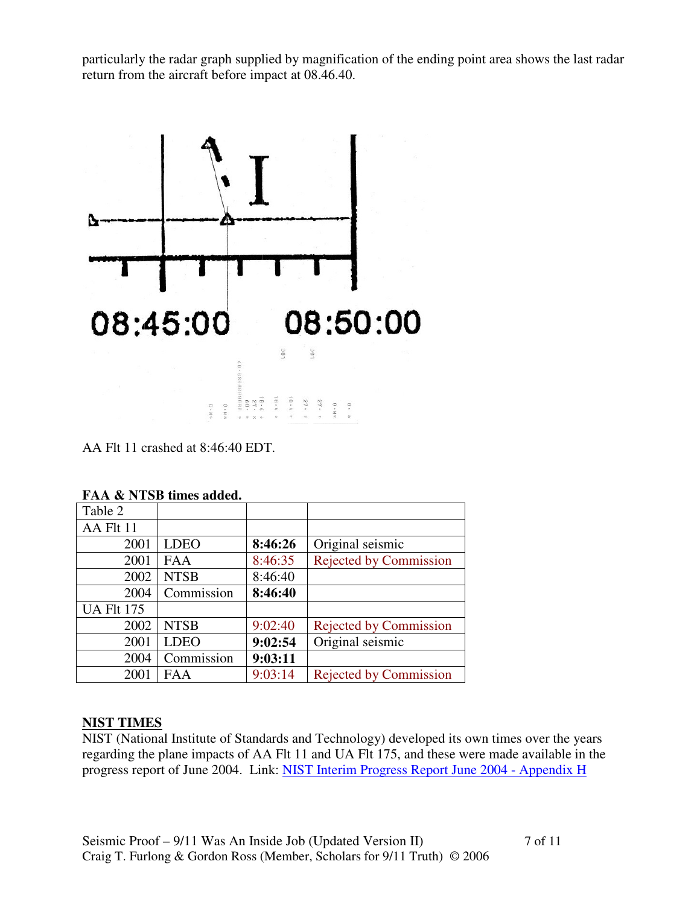particularly the radar graph supplied by magnification of the ending point area shows the last radar return from the aircraft before impact at 08.46.40.



AA Flt 11 crashed at 8:46:40 EDT.

| Table 2           |             |         |                               |
|-------------------|-------------|---------|-------------------------------|
| AA Flt 11         |             |         |                               |
| 2001              | <b>LDEO</b> | 8:46:26 | Original seismic              |
| 2001              | <b>FAA</b>  | 8:46:35 | <b>Rejected by Commission</b> |
| 2002              | <b>NTSB</b> | 8:46:40 |                               |
| 2004              | Commission  | 8:46:40 |                               |
| <b>UA Flt 175</b> |             |         |                               |
| 2002              | <b>NTSB</b> | 9:02:40 | <b>Rejected by Commission</b> |
| 2001              | <b>LDEO</b> | 9:02:54 | Original seismic              |
| 2004              | Commission  | 9:03:11 |                               |
| 2001              | <b>FAA</b>  | 9:03:14 | <b>Rejected by Commission</b> |

#### **FAA & NTSB times added.**

#### **NIST TIMES**

NIST (National Institute of Standards and Technology) developed its own times over the years regarding the plane impacts of AA Flt 11 and UA Flt 175, and these were made available in the progress report of June 2004. Link: NIST Interim Progress Report June 2004 - Appendix H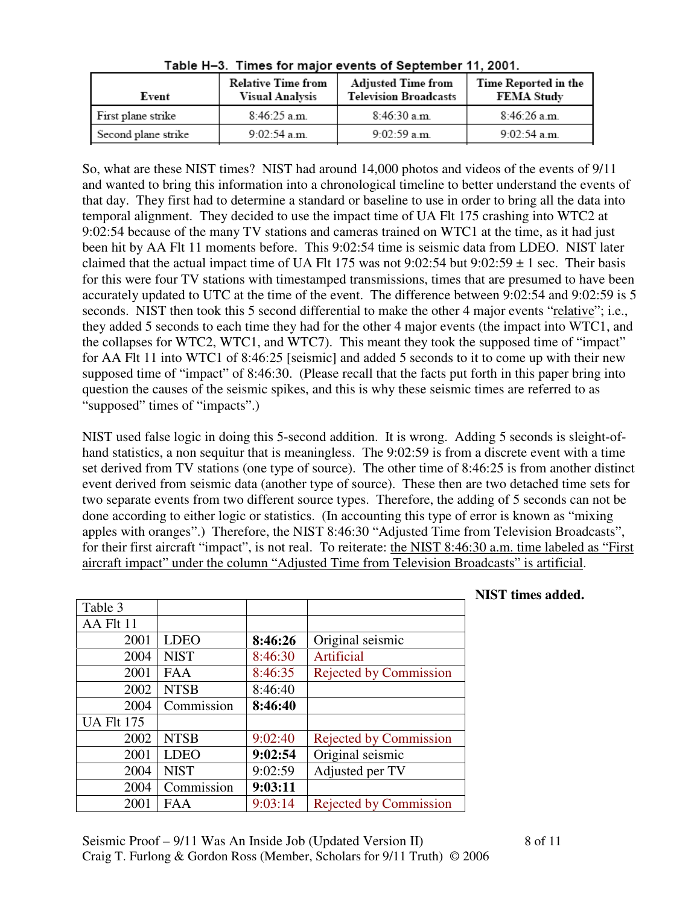| Event               | <b>Relative Time from</b><br><b>Visual Analysis</b> | <b>Adjusted Time from</b><br><b>Television Broadcasts</b> | Time Reported in the<br><b>FEMA Study</b> |
|---------------------|-----------------------------------------------------|-----------------------------------------------------------|-------------------------------------------|
| First plane strike  | $8:46:25$ a.m.                                      | $8:46:30$ a.m.                                            | $8:46:26$ a.m.                            |
| Second plane strike | $9:02:54$ a.m.                                      | $9:02:59$ a.m.                                            | $9.02:54$ a.m.                            |

Table H-3. Times for major events of September 11, 2001.

So, what are these NIST times? NIST had around 14,000 photos and videos of the events of 9/11 and wanted to bring this information into a chronological timeline to better understand the events of that day. They first had to determine a standard or baseline to use in order to bring all the data into temporal alignment. They decided to use the impact time of UA Flt 175 crashing into WTC2 at 9:02:54 because of the many TV stations and cameras trained on WTC1 at the time, as it had just been hit by AA Flt 11 moments before. This 9:02:54 time is seismic data from LDEO. NIST later claimed that the actual impact time of UA Flt 175 was not 9:02:54 but 9:02:59  $\pm$  1 sec. Their basis for this were four TV stations with timestamped transmissions, times that are presumed to have been accurately updated to UTC at the time of the event. The difference between 9:02:54 and 9:02:59 is 5 seconds. NIST then took this 5 second differential to make the other 4 major events "relative"; i.e., they added 5 seconds to each time they had for the other 4 major events (the impact into WTC1, and the collapses for WTC2, WTC1, and WTC7). This meant they took the supposed time of "impact" for AA Flt 11 into WTC1 of 8:46:25 [seismic] and added 5 seconds to it to come up with their new supposed time of "impact" of 8:46:30. (Please recall that the facts put forth in this paper bring into question the causes of the seismic spikes, and this is why these seismic times are referred to as "supposed" times of "impacts".)

NIST used false logic in doing this 5-second addition. It is wrong. Adding 5 seconds is sleight-ofhand statistics, a non sequitur that is meaningless. The 9:02:59 is from a discrete event with a time set derived from TV stations (one type of source). The other time of 8:46:25 is from another distinct event derived from seismic data (another type of source). These then are two detached time sets for two separate events from two different source types. Therefore, the adding of 5 seconds can not be done according to either logic or statistics. (In accounting this type of error is known as "mixing apples with oranges".) Therefore, the NIST 8:46:30 "Adjusted Time from Television Broadcasts", for their first aircraft "impact", is not real. To reiterate: the NIST 8:46:30 a.m. time labeled as "First aircraft impact" under the column "Adjusted Time from Television Broadcasts" is artificial.

| Table 3           |             |         |                               |
|-------------------|-------------|---------|-------------------------------|
| AA Flt 11         |             |         |                               |
| 2001              | <b>LDEO</b> | 8:46:26 | Original seismic              |
| 2004              | <b>NIST</b> | 8:46:30 | Artificial                    |
| 2001              | <b>FAA</b>  | 8:46:35 | <b>Rejected by Commission</b> |
| 2002              | <b>NTSB</b> | 8:46:40 |                               |
| 2004              | Commission  | 8:46:40 |                               |
| <b>UA Flt 175</b> |             |         |                               |
| 2002              | <b>NTSB</b> | 9:02:40 | <b>Rejected by Commission</b> |
| 2001              | <b>LDEO</b> | 9:02:54 | Original seismic              |
| 2004              | <b>NIST</b> | 9:02:59 | Adjusted per TV               |
| 2004              | Commission  | 9:03:11 |                               |
| 2001              | <b>FAA</b>  | 9:03:14 | <b>Rejected by Commission</b> |

#### **NIST times added.**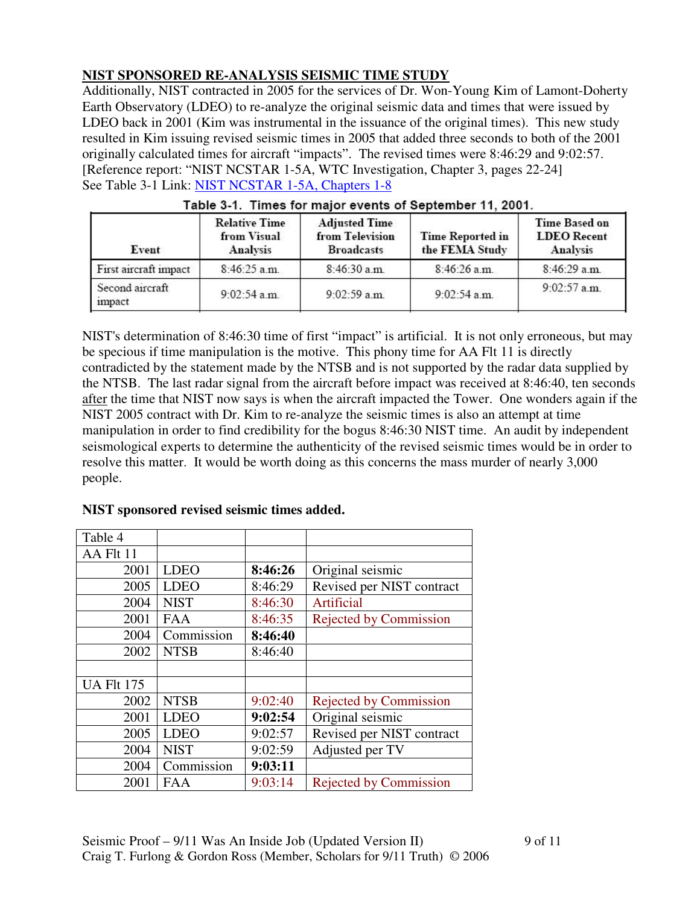# **NIST SPONSORED RE-ANALYSIS SEISMIC TIME STUDY**

Additionally, NIST contracted in 2005 for the services of Dr. Won-Young Kim of Lamont-Doherty Earth Observatory (LDEO) to re-analyze the original seismic data and times that were issued by LDEO back in 2001 (Kim was instrumental in the issuance of the original times). This new study resulted in Kim issuing revised seismic times in 2005 that added three seconds to both of the 2001 originally calculated times for aircraft "impacts". The revised times were 8:46:29 and 9:02:57. [Reference report: "NIST NCSTAR 1-5A, WTC Investigation, Chapter 3, pages 22-24] See Table 3-1 Link: NIST NCSTAR 1-5A, Chapters 1-8

| Event                     | <b>Relative Time</b><br>from Visual<br><b>Analysis</b> | <b>Adjusted Time</b><br>from Television<br><b>Broadcasts</b> | <b>Time Reported in</b><br>the FEMA Study | Time Based on<br><b>LDEO</b> Recent<br>Analysis |
|---------------------------|--------------------------------------------------------|--------------------------------------------------------------|-------------------------------------------|-------------------------------------------------|
| First aircraft impact     | $8:46:25$ a.m.                                         | $8:46:30$ a.m.                                               | $8:46:26$ a.m.                            | 8:46:29 a.m.                                    |
| Second aircraft<br>impact | $9:02:54$ a.m.                                         | $9:02:59$ a.m.                                               | $9:02:54$ a.m.                            | $9:02:57$ a.m.                                  |

|  |  | Table 3-1. Times for major events of September 11, 2001. |  |  |
|--|--|----------------------------------------------------------|--|--|
|--|--|----------------------------------------------------------|--|--|

NIST's determination of 8:46:30 time of first "impact" is artificial. It is not only erroneous, but may be specious if time manipulation is the motive. This phony time for AA Flt 11 is directly contradicted by the statement made by the NTSB and is not supported by the radar data supplied by the NTSB. The last radar signal from the aircraft before impact was received at 8:46:40, ten seconds after the time that NIST now says is when the aircraft impacted the Tower. One wonders again if the NIST 2005 contract with Dr. Kim to re-analyze the seismic times is also an attempt at time manipulation in order to find credibility for the bogus 8:46:30 NIST time. An audit by independent seismological experts to determine the authenticity of the revised seismic times would be in order to resolve this matter. It would be worth doing as this concerns the mass murder of nearly 3,000 people.

| Table 4           |             |         |                               |
|-------------------|-------------|---------|-------------------------------|
| AA Flt 11         |             |         |                               |
| 2001              | <b>LDEO</b> | 8:46:26 | Original seismic              |
| 2005              | <b>LDEO</b> | 8:46:29 | Revised per NIST contract     |
| 2004              | <b>NIST</b> | 8:46:30 | Artificial                    |
| 2001              | <b>FAA</b>  | 8:46:35 | <b>Rejected by Commission</b> |
| 2004              | Commission  | 8:46:40 |                               |
| 2002              | <b>NTSB</b> | 8:46:40 |                               |
|                   |             |         |                               |
| <b>UA Flt 175</b> |             |         |                               |
| 2002              | <b>NTSB</b> | 9:02:40 | <b>Rejected by Commission</b> |
| 2001              | <b>LDEO</b> | 9:02:54 | Original seismic              |
| 2005              | <b>LDEO</b> | 9:02:57 | Revised per NIST contract     |
| 2004              | <b>NIST</b> | 9:02:59 | Adjusted per TV               |
| 2004              | Commission  | 9:03:11 |                               |
| 2001              | FAA         | 9:03:14 | <b>Rejected by Commission</b> |

#### **NIST sponsored revised seismic times added.**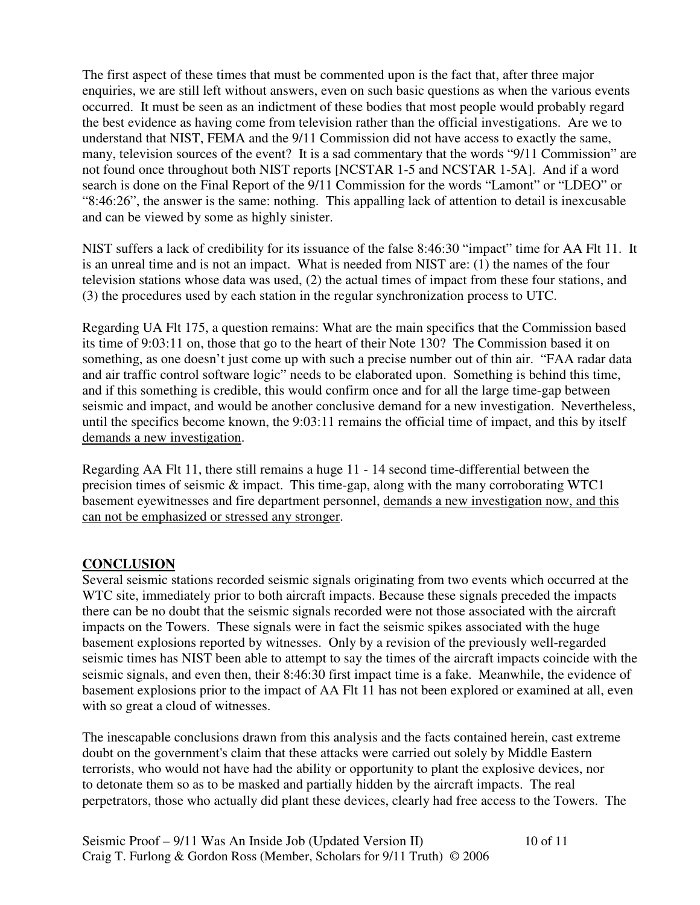The first aspect of these times that must be commented upon is the fact that, after three major enquiries, we are still left without answers, even on such basic questions as when the various events occurred. It must be seen as an indictment of these bodies that most people would probably regard the best evidence as having come from television rather than the official investigations. Are we to understand that NIST, FEMA and the 9/11 Commission did not have access to exactly the same, many, television sources of the event? It is a sad commentary that the words "9/11 Commission" are not found once throughout both NIST reports [NCSTAR 1-5 and NCSTAR 1-5A]. And if a word search is done on the Final Report of the 9/11 Commission for the words "Lamont" or "LDEO" or "8:46:26", the answer is the same: nothing. This appalling lack of attention to detail is inexcusable and can be viewed by some as highly sinister.

NIST suffers a lack of credibility for its issuance of the false 8:46:30 "impact" time for AA Flt 11. It is an unreal time and is not an impact. What is needed from NIST are: (1) the names of the four television stations whose data was used, (2) the actual times of impact from these four stations, and (3) the procedures used by each station in the regular synchronization process to UTC.

Regarding UA Flt 175, a question remains: What are the main specifics that the Commission based its time of 9:03:11 on, those that go to the heart of their Note 130? The Commission based it on something, as one doesn't just come up with such a precise number out of thin air. "FAA radar data and air traffic control software logic" needs to be elaborated upon. Something is behind this time, and if this something is credible, this would confirm once and for all the large time-gap between seismic and impact, and would be another conclusive demand for a new investigation. Nevertheless, until the specifics become known, the 9:03:11 remains the official time of impact, and this by itself demands a new investigation.

Regarding AA Flt 11, there still remains a huge 11 - 14 second time-differential between the precision times of seismic & impact. This time-gap, along with the many corroborating WTC1 basement eyewitnesses and fire department personnel, demands a new investigation now, and this can not be emphasized or stressed any stronger.

#### **CONCLUSION**

Several seismic stations recorded seismic signals originating from two events which occurred at the WTC site, immediately prior to both aircraft impacts. Because these signals preceded the impacts there can be no doubt that the seismic signals recorded were not those associated with the aircraft impacts on the Towers. These signals were in fact the seismic spikes associated with the huge basement explosions reported by witnesses. Only by a revision of the previously well-regarded seismic times has NIST been able to attempt to say the times of the aircraft impacts coincide with the seismic signals, and even then, their 8:46:30 first impact time is a fake. Meanwhile, the evidence of basement explosions prior to the impact of AA Flt 11 has not been explored or examined at all, even with so great a cloud of witnesses.

The inescapable conclusions drawn from this analysis and the facts contained herein, cast extreme doubt on the government's claim that these attacks were carried out solely by Middle Eastern terrorists, who would not have had the ability or opportunity to plant the explosive devices, nor to detonate them so as to be masked and partially hidden by the aircraft impacts. The real perpetrators, those who actually did plant these devices, clearly had free access to the Towers. The